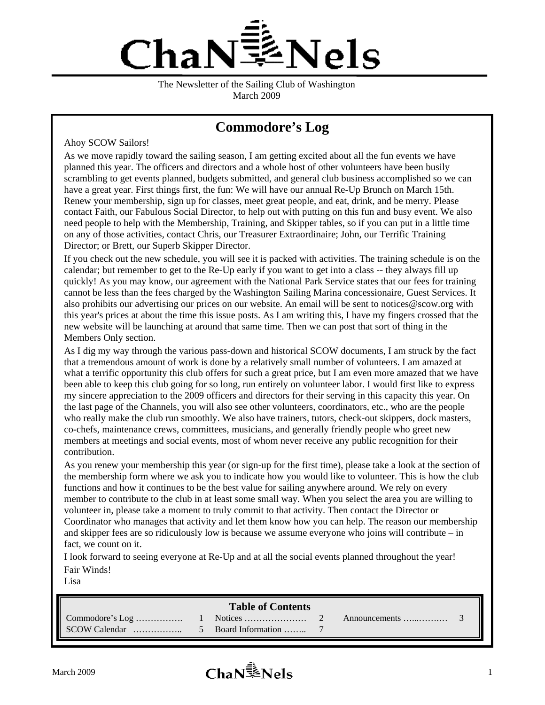

The Newsletter of the Sailing Club of Washington March 2009

# **Commodore's Log**

Ahoy SCOW Sailors!

As we move rapidly toward the sailing season, I am getting excited about all the fun events we have planned this year. The officers and directors and a whole host of other volunteers have been busily scrambling to get events planned, budgets submitted, and general club business accomplished so we can have a great year. First things first, the fun: We will have our annual Re-Up Brunch on March 15th. Renew your membership, sign up for classes, meet great people, and eat, drink, and be merry. Please contact Faith, our Fabulous Social Director, to help out with putting on this fun and busy event. We also need people to help with the Membership, Training, and Skipper tables, so if you can put in a little time on any of those activities, contact Chris, our Treasurer Extraordinaire; John, our Terrific Training Director; or Brett, our Superb Skipper Director.

If you check out the new schedule, you will see it is packed with activities. The training schedule is on the calendar; but remember to get to the Re-Up early if you want to get into a class -- they always fill up quickly! As you may know, our agreement with the National Park Service states that our fees for training cannot be less than the fees charged by the Washington Sailing Marina concessionaire, Guest Services. It also prohibits our advertising our prices on our website. An email will be sent to notices@scow.org with this year's prices at about the time this issue posts. As I am writing this, I have my fingers crossed that the new website will be launching at around that same time. Then we can post that sort of thing in the Members Only section.

As I dig my way through the various pass-down and historical SCOW documents, I am struck by the fact that a tremendous amount of work is done by a relatively small number of volunteers. I am amazed at what a terrific opportunity this club offers for such a great price, but I am even more amazed that we have been able to keep this club going for so long, run entirely on volunteer labor. I would first like to express my sincere appreciation to the 2009 officers and directors for their serving in this capacity this year. On the last page of the Channels, you will also see other volunteers, coordinators, etc., who are the people who really make the club run smoothly. We also have trainers, tutors, check-out skippers, dock masters, co-chefs, maintenance crews, committees, musicians, and generally friendly people who greet new members at meetings and social events, most of whom never receive any public recognition for their contribution.

As you renew your membership this year (or sign-up for the first time), please take a look at the section of the membership form where we ask you to indicate how you would like to volunteer. This is how the club functions and how it continues to be the best value for sailing anywhere around. We rely on every member to contribute to the club in at least some small way. When you select the area you are willing to volunteer in, please take a moment to truly commit to that activity. Then contact the Director or Coordinator who manages that activity and let them know how you can help. The reason our membership and skipper fees are so ridiculously low is because we assume everyone who joins will contribute – in fact, we count on it.

I look forward to seeing everyone at Re-Up and at all the social events planned throughout the year! Fair Winds!

Lisa

#### **Table of Contents**

SCOW Calendar …………….. 5 Board Information …….. 7

Commodore's Log ……………. 1 Notices ………………… 2 Announcements …...…….… 3

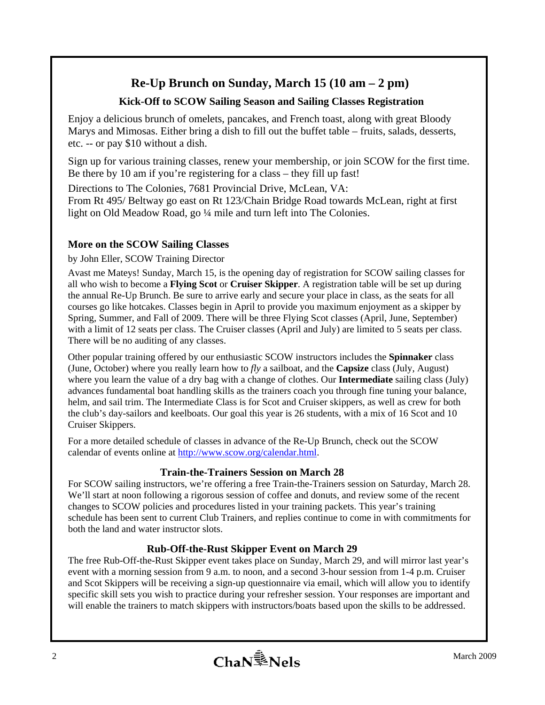## **Re-Up Brunch on Sunday, March 15 (10 am – 2 pm)**

## **Kick-Off to SCOW Sailing Season and Sailing Classes Registration**

Enjoy a delicious brunch of omelets, pancakes, and French toast, along with great Bloody Marys and Mimosas. Either bring a dish to fill out the buffet table – fruits, salads, desserts, etc. -- or pay \$10 without a dish.

Sign up for various training classes, renew your membership, or join SCOW for the first time. Be there by 10 am if you're registering for a class – they fill up fast!

Directions to The Colonies, 7681 Provincial Drive, McLean, VA: From Rt 495/ Beltway go east on Rt 123/Chain Bridge Road towards McLean, right at first

light on Old Meadow Road, go ¼ mile and turn left into The Colonies.

## **More on the SCOW Sailing Classes**

by John Eller, SCOW Training Director

Avast me Mateys! Sunday, March 15, is the opening day of registration for SCOW sailing classes for all who wish to become a **Flying Scot** or **Cruiser Skipper**. A registration table will be set up during the annual Re-Up Brunch. Be sure to arrive early and secure your place in class, as the seats for all courses go like hotcakes. Classes begin in April to provide you maximum enjoyment as a skipper by Spring, Summer, and Fall of 2009. There will be three Flying Scot classes (April, June, September) with a limit of 12 seats per class. The Cruiser classes (April and July) are limited to 5 seats per class. There will be no auditing of any classes.

Other popular training offered by our enthusiastic SCOW instructors includes the **Spinnaker** class (June, October) where you really learn how to *fly* a sailboat, and the **Capsize** class (July, August) where you learn the value of a dry bag with a change of clothes. Our **Intermediate** sailing class (July) advances fundamental boat handling skills as the trainers coach you through fine tuning your balance, helm, and sail trim. The Intermediate Class is for Scot and Cruiser skippers, as well as crew for both the club's day-sailors and keelboats. Our goal this year is 26 students, with a mix of 16 Scot and 10 Cruiser Skippers.

For a more detailed schedule of classes in advance of the Re-Up Brunch, check out the SCOW calendar of events online at http://www.scow.org/calendar.html.

## **Train-the-Trainers Session on March 28**

For SCOW sailing instructors, we're offering a free Train-the-Trainers session on Saturday, March 28. We'll start at noon following a rigorous session of coffee and donuts, and review some of the recent changes to SCOW policies and procedures listed in your training packets. This year's training schedule has been sent to current Club Trainers, and replies continue to come in with commitments for both the land and water instructor slots.

## **Rub-Off-the-Rust Skipper Event on March 29**

The free Rub-Off-the-Rust Skipper event takes place on Sunday, March 29, and will mirror last year's event with a morning session from 9 a.m. to noon, and a second 3-hour session from 1-4 p.m. Cruiser and Scot Skippers will be receiving a sign-up questionnaire via email, which will allow you to identify specific skill sets you wish to practice during your refresher session. Your responses are important and will enable the trainers to match skippers with instructors/boats based upon the skills to be addressed.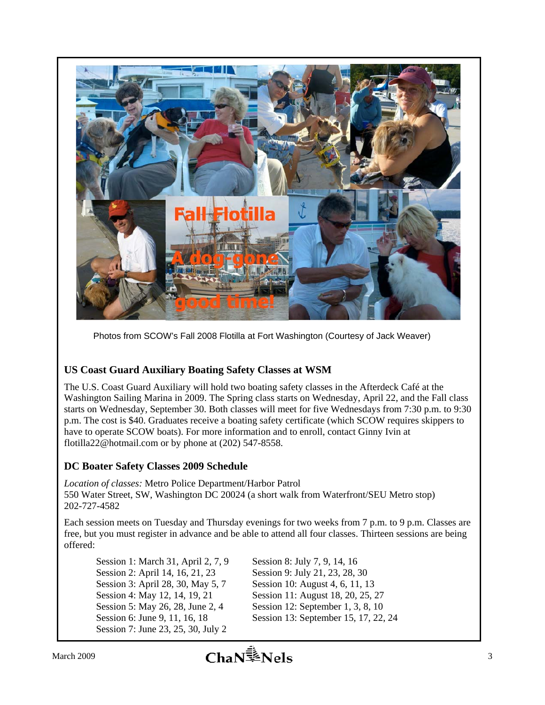

Photos from SCOW's Fall 2008 Flotilla at Fort Washington (Courtesy of Jack Weaver)

## **US Coast Guard Auxiliary Boating Safety Classes at WSM**

The U.S. Coast Guard Auxiliary will hold two boating safety classes in the Afterdeck Café at the Washington Sailing Marina in 2009. The Spring class starts on Wednesday, April 22, and the Fall class starts on Wednesday, September 30. Both classes will meet for five Wednesdays from 7:30 p.m. to 9:30 p.m. The cost is \$40. Graduates receive a boating safety certificate (which SCOW requires skippers to have to operate SCOW boats). For more information and to enroll, contact Ginny Ivin at flotilla22@hotmail.com or by phone at (202) 547-8558.

## **DC Boater Safety Classes 2009 Schedule**

*Location of classes:* Metro Police Department/Harbor Patrol 550 Water Street, SW, Washington DC 20024 (a short walk from Waterfront/SEU Metro stop) 202-727-4582

Each session meets on Tuesday and Thursday evenings for two weeks from 7 p.m. to 9 p.m. Classes are free, but you must register in advance and be able to attend all four classes. Thirteen sessions are being offered:

Session 1: March 31, April 2, 7, 9 Session 2: April 14, 16, 21, 23 Session 3: April 28, 30, May 5, 7 Session 4: May 12, 14, 19, 21 Session 5: May 26, 28, June 2, 4 Session 6: June 9, 11, 16, 18 Session 7: June 23, 25, 30, July 2

Session 8: July 7, 9, 14, 16 Session 9: July 21, 23, 28, 30 Session 10: August 4, 6, 11, 13 Session 11: August 18, 20, 25, 27 Session 12: September 1, 3, 8, 10 Session 13: September 15, 17, 22, 24

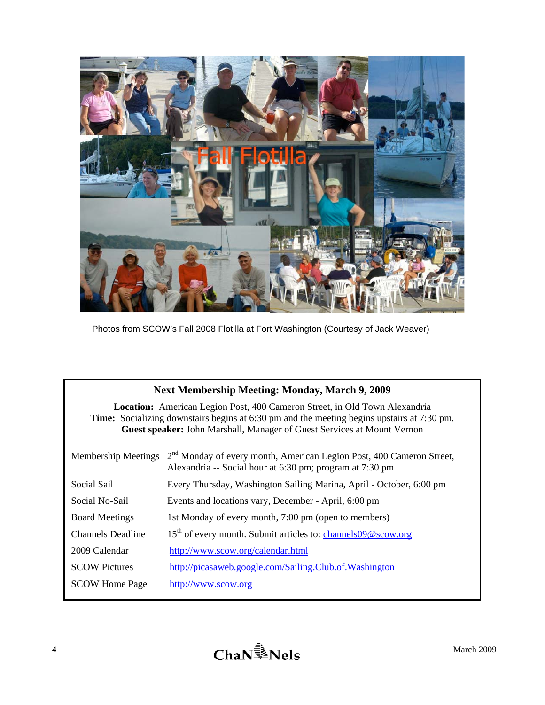

Photos from SCOW's Fall 2008 Flotilla at Fort Washington (Courtesy of Jack Weaver)

| <b>Next Membership Meeting: Monday, March 9, 2009</b>                                                                                                                                                                                                             |                                                                                                                                              |  |  |  |  |
|-------------------------------------------------------------------------------------------------------------------------------------------------------------------------------------------------------------------------------------------------------------------|----------------------------------------------------------------------------------------------------------------------------------------------|--|--|--|--|
| <b>Location:</b> American Legion Post, 400 Cameron Street, in Old Town Alexandria<br><b>Time:</b> Socializing downstairs begins at 6:30 pm and the meeting begins upstairs at 7:30 pm.<br>Guest speaker: John Marshall, Manager of Guest Services at Mount Vernon |                                                                                                                                              |  |  |  |  |
| <b>Membership Meetings</b>                                                                                                                                                                                                                                        | 2 <sup>nd</sup> Monday of every month, American Legion Post, 400 Cameron Street,<br>Alexandria -- Social hour at 6:30 pm; program at 7:30 pm |  |  |  |  |
| Social Sail                                                                                                                                                                                                                                                       | Every Thursday, Washington Sailing Marina, April - October, 6:00 pm                                                                          |  |  |  |  |
| Social No-Sail                                                                                                                                                                                                                                                    | Events and locations vary, December - April, 6:00 pm                                                                                         |  |  |  |  |
| <b>Board Meetings</b>                                                                                                                                                                                                                                             | 1st Monday of every month, 7:00 pm (open to members)                                                                                         |  |  |  |  |
| <b>Channels Deadline</b>                                                                                                                                                                                                                                          | 15 <sup>th</sup> of every month. Submit articles to: channels09@scow.org                                                                     |  |  |  |  |
| 2009 Calendar                                                                                                                                                                                                                                                     | http://www.scow.org/calendar.html                                                                                                            |  |  |  |  |
| <b>SCOW Pictures</b>                                                                                                                                                                                                                                              | http://picasaweb.google.com/Sailing.Club.of.Washington                                                                                       |  |  |  |  |
| <b>SCOW Home Page</b>                                                                                                                                                                                                                                             | http://www.scow.org                                                                                                                          |  |  |  |  |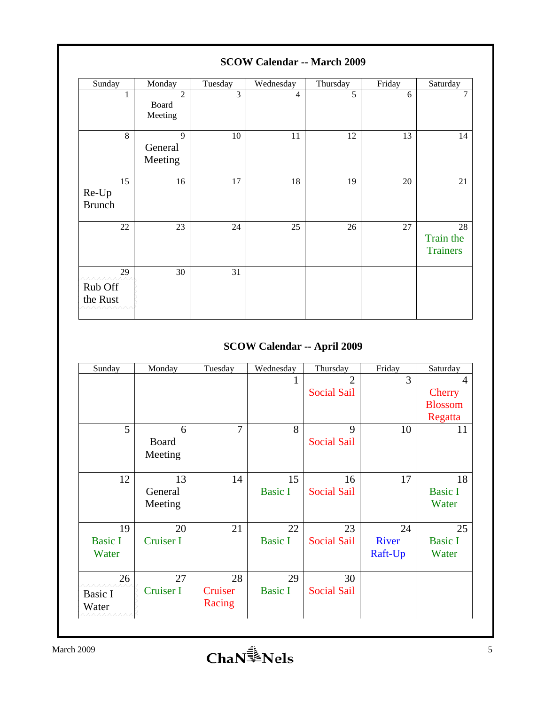| $5COW$ Calcitual $\sim$ March 2007       |                                    |         |           |          |        |                                    |
|------------------------------------------|------------------------------------|---------|-----------|----------|--------|------------------------------------|
| Sunday                                   | Monday                             | Tuesday | Wednesday | Thursday | Friday | Saturday                           |
| 1                                        | $\overline{2}$<br>Board<br>Meeting | 3       | 4         | 5        | 6      | $\overline{7}$                     |
| 8                                        | $\mathbf{Q}$<br>General<br>Meeting | $10\,$  | 11        | 12       | 13     | 14                                 |
| 15<br>Re-Up<br><b>Brunch</b>             | 16                                 | 17      | 18        | 19       | 20     | 21                                 |
| 22                                       | 23                                 | 24      | 25        | 26       | 27     | 28<br>Train the<br><b>Trainers</b> |
| 29<br>www<br>Rub Off<br>the Rust<br>へへへへ | 30                                 | 31      |           |          |        |                                    |

## **SCOW Calendar -- March 2009**

## **SCOW Calendar -- April 2009**

| Sunday                         | Monday                   | Tuesday                 | Wednesday            | Thursday                             | Friday                 | Saturday                                   |
|--------------------------------|--------------------------|-------------------------|----------------------|--------------------------------------|------------------------|--------------------------------------------|
|                                |                          |                         |                      | $\overline{2}$<br><b>Social Sail</b> | 3                      | $\overline{4}$<br>Cherry<br><b>Blossom</b> |
| 5                              | 6<br>Board<br>Meeting    | $\overline{7}$          | 8                    | 9<br><b>Social Sail</b>              | 10                     | Regatta<br>11                              |
| 12                             | 13<br>General<br>Meeting | 14                      | 15<br><b>Basic I</b> | 16<br><b>Social Sail</b>             | 17                     | 18<br><b>Basic I</b><br>Water              |
| 19<br><b>Basic I</b><br>Water  | 20<br>Cruiser I          | 21                      | 22<br><b>Basic I</b> | 23<br><b>Social Sail</b>             | 24<br>River<br>Raft-Up | 25<br><b>Basic I</b><br>Water              |
| 26<br>Basic I<br>Water<br>wwww | 27<br>Cruiser I          | 28<br>Cruiser<br>Racing | 29<br><b>Basic I</b> | 30<br><b>Social Sail</b>             |                        |                                            |

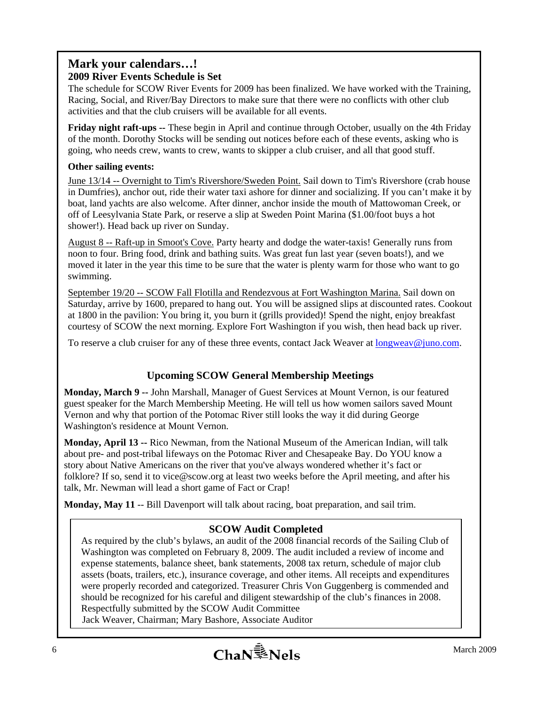### **Mark your calendars…! 2009 River Events Schedule is Set**

The schedule for SCOW River Events for 2009 has been finalized. We have worked with the Training, Racing, Social, and River/Bay Directors to make sure that there were no conflicts with other club activities and that the club cruisers will be available for all events.

**Friday night raft-ups --** These begin in April and continue through October, usually on the 4th Friday of the month. Dorothy Stocks will be sending out notices before each of these events, asking who is going, who needs crew, wants to crew, wants to skipper a club cruiser, and all that good stuff.

#### **Other sailing events:**

June 13/14 -- Overnight to Tim's Rivershore/Sweden Point. Sail down to Tim's Rivershore (crab house in Dumfries), anchor out, ride their water taxi ashore for dinner and socializing. If you can't make it by boat, land yachts are also welcome. After dinner, anchor inside the mouth of Mattowoman Creek, or off of Leesylvania State Park, or reserve a slip at Sweden Point Marina (\$1.00/foot buys a hot shower!). Head back up river on Sunday.

August 8 -- Raft-up in Smoot's Cove. Party hearty and dodge the water-taxis! Generally runs from noon to four. Bring food, drink and bathing suits. Was great fun last year (seven boats!), and we moved it later in the year this time to be sure that the water is plenty warm for those who want to go swimming.

September 19/20 -- SCOW Fall Flotilla and Rendezvous at Fort Washington Marina. Sail down on Saturday, arrive by 1600, prepared to hang out. You will be assigned slips at discounted rates. Cookout at 1800 in the pavilion: You bring it, you burn it (grills provided)! Spend the night, enjoy breakfast courtesy of SCOW the next morning. Explore Fort Washington if you wish, then head back up river.

To reserve a club cruiser for any of these three events, contact Jack Weaver at **longweav@juno.com**.

## **Upcoming SCOW General Membership Meetings**

**Monday, March 9 --** John Marshall, Manager of Guest Services at Mount Vernon, is our featured guest speaker for the March Membership Meeting. He will tell us how women sailors saved Mount Vernon and why that portion of the Potomac River still looks the way it did during George Washington's residence at Mount Vernon.

**Monday, April 13 --** Rico Newman, from the National Museum of the American Indian, will talk about pre- and post-tribal lifeways on the Potomac River and Chesapeake Bay. Do YOU know a story about Native Americans on the river that you've always wondered whether it's fact or folklore? If so, send it to vice@scow.org at least two weeks before the April meeting, and after his talk, Mr. Newman will lead a short game of Fact or Crap!

**Monday, May 11** -- Bill Davenport will talk about racing, boat preparation, and sail trim.

## **SCOW Audit Completed**

As required by the club's bylaws, an audit of the 2008 financial records of the Sailing Club of Washington was completed on February 8, 2009. The audit included a review of income and expense statements, balance sheet, bank statements, 2008 tax return, schedule of major club assets (boats, trailers, etc.), insurance coverage, and other items. All receipts and expenditures were properly recorded and categorized. Treasurer Chris Von Guggenberg is commended and should be recognized for his careful and diligent stewardship of the club's finances in 2008. Respectfully submitted by the SCOW Audit Committee

Jack Weaver, Chairman; Mary Bashore, Associate Auditor